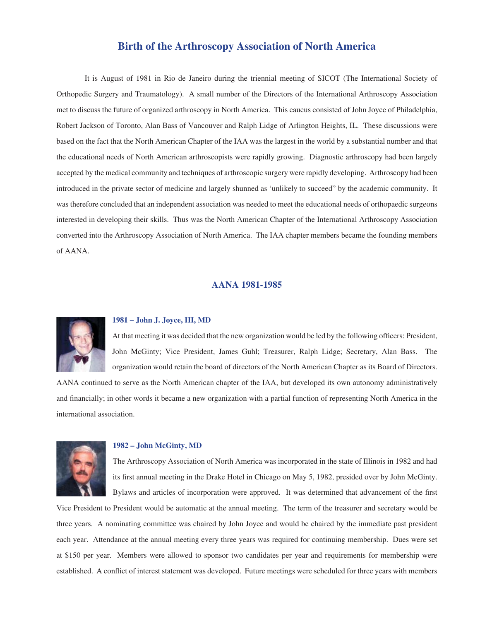# **Birth of the Arthroscopy Association of North America**

It is August of 1981 in Rio de Janeiro during the triennial meeting of SICOT (The International Society of Orthopedic Surgery and Traumatology). A small number of the Directors of the International Arthroscopy Association met to discuss the future of organized arthroscopy in North America. This caucus consisted of John Joyce of Philadelphia, Robert Jackson of Toronto, Alan Bass of Vancouver and Ralph Lidge of Arlington Heights, IL. These discussions were based on the fact that the North American Chapter of the IAA was the largest in the world by a substantial number and that the educational needs of North American arthroscopists were rapidly growing. Diagnostic arthroscopy had been largely accepted by the medical community and techniques of arthroscopic surgery were rapidly developing. Arthroscopy had been introduced in the private sector of medicine and largely shunned as 'unlikely to succeed" by the academic community. It was therefore concluded that an independent association was needed to meet the educational needs of orthopaedic surgeons interested in developing their skills. Thus was the North American Chapter of the International Arthroscopy Association converted into the Arthroscopy Association of North America. The IAA chapter members became the founding members of AANA.

## **AANA 1981-1985**



## **1981 – John J. Joyce, III, MD**

At that meeting it was decided that the new organization would be led by the following officers: President, John McGinty; Vice President, James Guhl; Treasurer, Ralph Lidge; Secretary, Alan Bass. The organization would retain the board of directors of the North American Chapter as its Board of Directors.

AANA continued to serve as the North American chapter of the IAA, but developed its own autonomy administratively and financially; in other words it became a new organization with a partial function of representing North America in the international association.



#### **1982 – John McGinty, MD**

The Arthroscopy Association of North America was incorporated in the state of Illinois in 1982 and had its first annual meeting in the Drake Hotel in Chicago on May 5, 1982, presided over by John McGinty. Bylaws and articles of incorporation were approved. It was determined that advancement of the first

Vice President to President would be automatic at the annual meeting. The term of the treasurer and secretary would be three years. A nominating committee was chaired by John Joyce and would be chaired by the immediate past president each year. Attendance at the annual meeting every three years was required for continuing membership. Dues were set at \$150 per year. Members were allowed to sponsor two candidates per year and requirements for membership were established. A conflict of interest statement was developed. Future meetings were scheduled for three years with members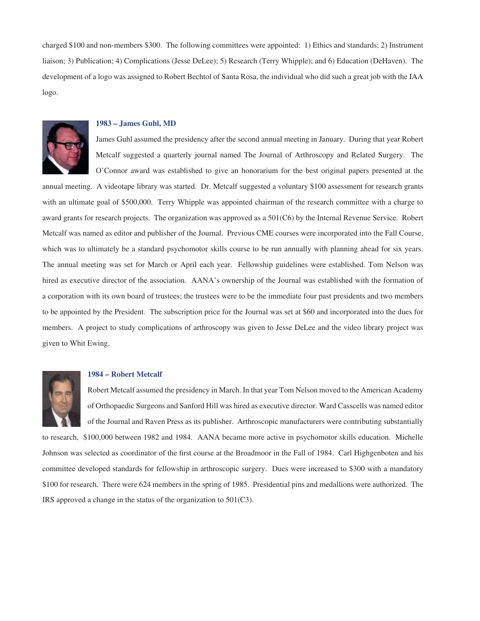charged \$100 and non-members \$300. The following committees were appointed: 1) Ethics and standards; 2) Instrument liaison; 3) Publication; 4) Complications (Jesse DeLee); 5) Research (Terry Whipple); and 6) Education (DeHaven). The development of a logo was assigned to Robert Bechtol of Santa Rosa, the individual who did such a great job with the IAA logo.



### **1983 – James Guhl, MD**

James Guhl assumed the presidency after the second annual meeting in January. During that year Robert Metcalf suggested a quarterly journal named The Journal of Arthroscopy and Related Surgery. The O'Connor award was established to give an honorarium for the best original papers presented at the

annual meeting. A videotape library was started. Dr. Metcalf suggested a voluntary \$100 assessment for research grants with an ultimate goal of \$500,000. Terry Whipple was appointed chairman of the research committee with a charge to award grants for research projects. The organization was approved as a 501(C6) by the Internal Revenue Service. Robert Metcalf was named as editor and publisher of the Journal. Previous CME courses were incorporated into the Fall Course, which was to ultimately be a standard psychomotor skills course to be run annually with planning ahead for six years. The annual meeting was set for March or April each year. Fellowship guidelines were established. Tom Nelson was hired as executive director of the association. AANA's ownership of the Journal was established with the formation of a corporation with its own board of trustees; the trustees were to be the immediate four past presidents and two members to be appointed by the President. The subscription price for the Journal was set at \$60 and incorporated into the dues for members. A project to study complications of arthroscopy was given to Jesse DeLee and the video library project was given to Whit Ewing.



#### **1984 – Robert Metcalf**

Robert Metcalf assumed the presidency in March. In that year Tom Nelson moved to the American Academy of Orthopaedic Surgeons and Sanford Hill was hired as executive director. Ward Casscells was named editor of the Journal and Raven Press as its publisher. Arthroscopic manufacturers were contributing substantially

to research, \$100,000 between 1982 and 1984. AANA became more active in psychomotor skills education. Michelle Johnson was selected as coordinator of the first course at the Broadmoor in the Fall of 1984. Carl Highgenboten and his committee developed standards for fellowship in arthroscopic surgery. Dues were increased to \$300 with a mandatory \$100 for research. There were 624 members in the spring of 1985. Presidential pins and medallions were authorized. The IRS approved a change in the status of the organization to 501(C3).